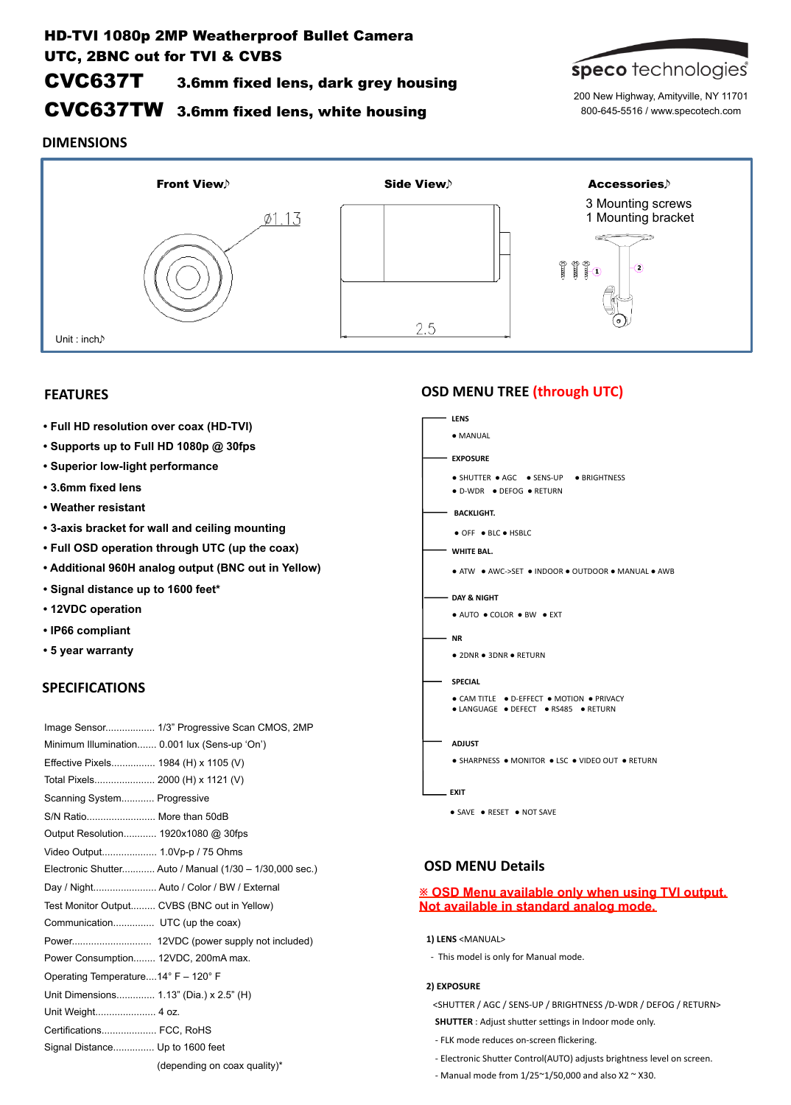# HD-TVI 1080p 2MP Weatherproof Bullet Camera UTC, 2BNC out for TVI & CVBS

# CVC637T 3.6mm fixed lens, dark grey housing

# CVC637TW 3.6mm fixed lens, white housing



200 New Highway, Amityville, NY 11701 800-645-5516 / www.specotech.com

## **DIMENSIONS**



## **FEATURES**

- **Full HD resolution over coax (HD-TVI)**
- **Supports up to Full HD 1080p @ 30fps**
- **Superior low-light performance**
- **3.6mm fixed lens**
- **Weather resistant**
- **3-axis bracket for wall and ceiling mounting**
- **Full OSD operation through UTC (up the coax)**
- **Additional 960H analog output (BNC out in Yellow)**
- **Signal distance up to 1600 feet\***
- **12VDC operation**
- **IP66 compliant**
- **5 year warranty**

## **SPECIFICATIONS**

| Image Sensor 1/3" Progressive Scan CMOS, 2MP            |
|---------------------------------------------------------|
| Minimum Illumination 0.001 lux (Sens-up 'On')           |
| Effective Pixels 1984 (H) x 1105 (V)                    |
| Total Pixels 2000 (H) x 1121 (V)                        |
| Scanning System Progressive                             |
| S/N Ratio More than 50dB                                |
| Output Resolution 1920x1080 @ 30fps                     |
|                                                         |
| Electronic Shutter Auto / Manual (1/30 - 1/30,000 sec.) |
| Day / Night Auto / Color / BW / External                |
| Test Monitor Output CVBS (BNC out in Yellow)            |
| Communication UTC (up the coax)                         |
|                                                         |
| Power Consumption 12VDC, 200mA max.                     |
| Operating Temperature14° F - 120° F                     |
| Unit Dimensions 1.13" (Dia.) x 2.5" (H)                 |
| Unit Weight 4 oz.                                       |
| Certifications FCC. RoHS                                |
| Signal Distance Up to 1600 feet                         |
| (depending on coax quality)*                            |

## **OSD MENU TREE (through UTC)**

| <b>LENS</b> |                                                                                   |
|-------------|-----------------------------------------------------------------------------------|
|             | • MANUAL                                                                          |
|             | <b>EXPOSURE</b>                                                                   |
|             | • SHUTTER • AGC • SENS-UP • BRIGHTNESS<br>• D-WDR • DEFOG • RETURN                |
|             | <b>BACKLIGHT.</b>                                                                 |
|             | ● OFF ● BLC ● HSBLC                                                               |
|             | WHITE BAL.                                                                        |
|             | • ATW • AWC->SET • INDOOR • OUTDOOR • MANUAL • AWB                                |
|             | — DAY & NIGHT                                                                     |
|             | • AUTO • COLOR • BW • EXT                                                         |
| - NR        |                                                                                   |
|             | • 2DNR • 3DNR • RETURN                                                            |
|             | <b>SPECIAL</b>                                                                    |
|             | • CAM TITLE • D-EFFECT • MOTION • PRIVACY<br>● LANGUAGE ● DEFECT ● RS485 ● RETURN |
|             | <b>ADJUST</b>                                                                     |
|             | • SHARPNESS • MONITOR • LSC • VIDEO OUT • RETURN                                  |
| . EXIT      |                                                                                   |

# ● SAVE ● RESET ● NOT SAVE

## **OSD MENU Details**

## **※ OSD Menu available only when using TVI output. Not available in standard analog mode.**

- 1) LENS <MANUAL>
- This model is only for Manual mode.

#### **2) EXPOSURE**

<SHUTTER / AGC / SENS-UP / BRIGHTNESS /D-WDR / DEFOG / RETURN> **SHUTTER** : Adjust shutter settings in Indoor mode only.

- FLK mode reduces on-screen flickering.
- Electronic Shutter Control(AUTO) adjusts brightness level on screen.
- Manual mode from  $1/25^{\sim}1/50,000$  and also X2  $\sim$  X30.